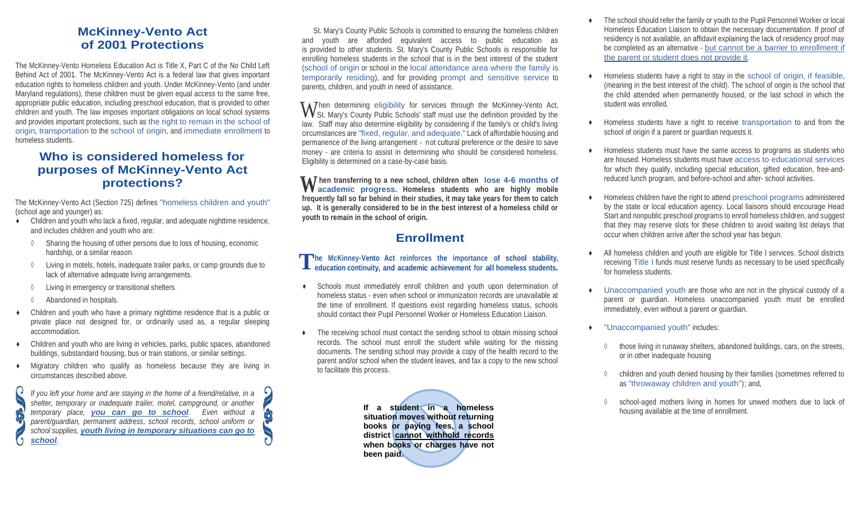## **McKinney-Vento Act of 2001 Protections**

The McKinney-Vento Homeless Education Act is Title X, Part C of the No Child Left Behind Act of 2001. The McKinney-Vento Act is a federal law that gives important education rights to homeless children and youth. Under McKinney-Vento (and under Maryland regulations), these children must be given equal access to the same free, appropriate public education, including preschool education, that is provided to other children and youth. The law imposes important obligations on local school systems and provides important protections, such as the right to remain in the school of origin, transportation to the school of origin, and immediate enrollment to homeless students.

## **Who is considered homeless for purposes of McKinney-Vento Act protections?**

The McKinney-Vento Act (Section 725) defines "homeless children and youth" (school age and younger) as:

- Children and youth who lack a fixed, regular, and adequate nighttime residence, and includes children and youth who are:
- ◊ Sharing the housing of other persons due to loss of housing, economic hardship, or a similar reason.
- ◊ Living in motels, hotels, inadequate trailer parks, or camp grounds due to lack of alternative adequate living arrangements.
- ◊ Living in emergency or transitional shelters.
- ◊ Abandoned in hospitals.
- Children and youth who have a primary nighttime residence that is a public or private place not designed for, or ordinarily used as, a regular sleeping accommodation.
- Children and youth who are living in vehicles, parks, public spaces, abandoned buildings, substandard housing, bus or train stations, or similar settings.
- ♦ Migratory children who qualify as homeless because they are living in circumstances described above.

*If you left your home and are staying in the home of a friend/relative, in a shelter, temporary or inadequate trailer, motel, campground, or another temporary place, you can go to school. Even without a parent/guardian, permanent address, school records, school uniform or school supplies, youth living in temporary situations can go to school.*

 St. Mary's County Public Schools is committed to ensuring the homeless children and youth are afforded equivalent access to public education as is provided to other students. St. Mary's County Public Schools is responsible for enrolling homeless students in the school that is in the best interest of the student (school of origin or school in the local attendance area where the family is temporarily residing), and for providing prompt and sensitive service to parents, children, and youth in need of assistance.

 $\blacksquare$  Then determining eligibility for services through the McKinney-Vento Act, When determining eligibility for services through the McKinney-Vento Act, St. Mary's County Public Schools' staff must use the definition provided by the law. Staff may also determine eligibility by considering if the family's or child's living circumstances are "fixed, regular, and adequate." Lack of affordable housing and permanence of the living arrangement - not cultural preference or the desire to save money - are criteria to assist in determining who should be considered homeless. Eligibility is determined on a case-by-case basis.

When transferring to a new school, children often lose 4-6 months of academic progress. Homeless students who are highly mobile **VV** academic progress. Homeless students who are highly mobile **frequently fall so far behind in their studies, it may take years for them to catch up. It is generally considered to be in the best interest of a homeless child or youth to remain in the school of origin.**

# **Enrollment**

**he** McKinney-Vento Act reinforces the importance of school stability, education continuity, and academic achievement for all homeless students.  **education continuity, and academic achievement for all homeless students.**

- Schools must immediately enroll children and youth upon determination of homeless status - even when school or immunization records are unavailable at the time of enrollment. If questions exist regarding homeless status, schools should contact their Pupil Personnel Worker or Homeless Education Liaison.
- ♦ The receiving school must contact the sending school to obtain missing school records. The school must enroll the student while waiting for the missing documents. The sending school may provide a copy of the health record to the parent and/or school when the student leaves, and fax a copy to the new school to facilitate this process.

**If a student in a homeless situation moves without returning books or paying fees, a school district cannot withhold records when books or charges have not been paid.**

- The school should refer the family or youth to the Pupil Personnel Worker or local Homeless Education Liaison to obtain the necessary documentation. If proof of residency is not available, an affidavit explaining the lack of residency proof may be completed as an alternative - but cannot be a barrier to enrollment if the parent or student does not provide it.
- Homeless students have a right to stay in the school of origin, if feasible, (meaning in the best interest of the child). The school of origin is the school that the child attended when permanently housed, or the last school in which the student was enrolled.
- Homeless students have a right to receive transportation to and from the school of origin if a parent or guardian requests it.
- Homeless students must have the same access to programs as students who are housed. Homeless students must have access to educational services for which they qualify, including special education, gifted education, free-andreduced lunch program, and before-school and after- school activities.
- Homeless children have the right to attend preschool programs administered by the state or local education agency. Local liaisons should encourage Head Start and nonpublic preschool programs to enroll homeless children, and suggest that they may reserve slots for these children to avoid waiting list delays that occur when children arrive after the school year has begun.
- All homeless children and youth are eligible for Title I services. School districts receiving Title I funds must reserve funds as necessary to be used specifically for homeless students.
- Unaccompanied youth are those who are not in the physical custody of a parent or guardian. Homeless unaccompanied youth must be enrolled immediately, even without a parent or guardian.
- "Unaccompanied youth" includes:
	- ◊ those living in runaway shelters, abandoned buildings, cars, on the streets, or in other inadequate housing
	- ◊ children and youth denied housing by their families (sometimes referred to as "throwaway children and youth"); and,
	- school-aged mothers living in homes for unwed mothers due to lack of housing available at the time of enrollment.